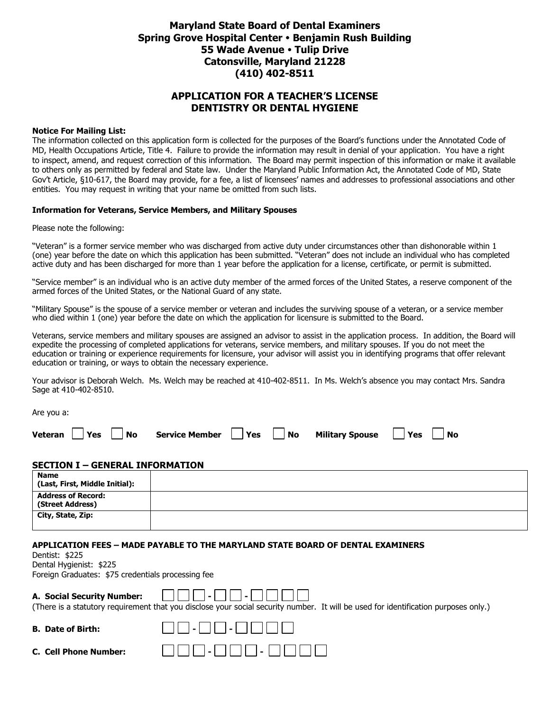### **Maryland State Board of Dental Examiners Spring Grove Hospital Center Benjamin Rush Building 55 Wade Avenue Tulip Drive Catonsville, Maryland 21228 (410) 402-8511**

### **APPLICATION FOR A TEACHER'S LICENSE DENTISTRY OR DENTAL HYGIENE**

#### **Notice For Mailing List:**

The information collected on this application form is collected for the purposes of the Board's functions under the Annotated Code of MD, Health Occupations Article, Title 4. Failure to provide the information may result in denial of your application. You have a right to inspect, amend, and request correction of this information. The Board may permit inspection of this information or make it available to others only as permitted by federal and State law. Under the Maryland Public Information Act, the Annotated Code of MD, State Gov't Article, §10-617, the Board may provide, for a fee, a list of licensees' names and addresses to professional associations and other entities. You may request in writing that your name be omitted from such lists.

#### **Information for Veterans, Service Members, and Military Spouses**

Please note the following:

"Veteran" is a former service member who was discharged from active duty under circumstances other than dishonorable within 1 (one) year before the date on which this application has been submitted. "Veteran" does not include an individual who has completed active duty and has been discharged for more than 1 year before the application for a license, certificate, or permit is submitted.

"Service member" is an individual who is an active duty member of the armed forces of the United States, a reserve component of the armed forces of the United States, or the National Guard of any state.

"Military Spouse" is the spouse of a service member or veteran and includes the surviving spouse of a veteran, or a service member who died within 1 (one) year before the date on which the application for licensure is submitted to the Board.

Veterans, service members and military spouses are assigned an advisor to assist in the application process. In addition, the Board will expedite the processing of completed applications for veterans, service members, and military spouses. If you do not meet the education or training or experience requirements for licensure, your advisor will assist you in identifying programs that offer relevant education or training, or ways to obtain the necessary experience.

Your advisor is Deborah Welch. Ms. Welch may be reached at 410-402-8511. In Ms. Welch's absence you may contact Mrs. Sandra Sage at 410-402-8510.

Are you a:

| Veteran $\Box$ Yes $\Box$ No Service Member $\Box$ Yes $\Box$ No Military Spouse $\Box$ Yes $\Box$ No |  |
|-------------------------------------------------------------------------------------------------------|--|
|-------------------------------------------------------------------------------------------------------|--|

#### **SECTION I – GENERAL INFORMATION**

| <b>Name</b><br>(Last, First, Middle Initial): |  |
|-----------------------------------------------|--|
| <b>Address of Record:</b><br>(Street Address) |  |
| City, State, Zip:                             |  |

#### **APPLICATION FEES – MADE PAYABLE TO THE MARYLAND STATE BOARD OF DENTAL EXAMINERS**

**B. Date of Birth: - -**

Dentist: \$225 Dental Hygienist: \$225

Foreign Graduates: \$75 credentials processing fee

### **A. Social Security Number: - -**

(There is a statutory requirement that you disclose your social security number. It will be used for identification purposes only.)

|  | <b>B.</b> Date of Birth: |  |
|--|--------------------------|--|

**C.** Cell Phone

| Number: |  |  |  | - |  |  |
|---------|--|--|--|---|--|--|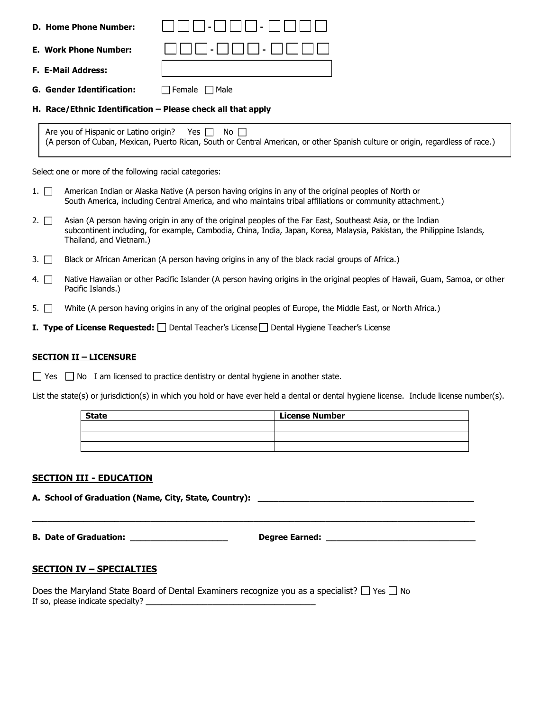|           | <b>D. Home Phone Number:</b>                           |                                                                                                                                                                                                                                       |
|-----------|--------------------------------------------------------|---------------------------------------------------------------------------------------------------------------------------------------------------------------------------------------------------------------------------------------|
|           | <b>E. Work Phone Number:</b>                           |                                                                                                                                                                                                                                       |
|           | <b>F. E-Mail Address:</b>                              |                                                                                                                                                                                                                                       |
|           | <b>G. Gender Identification:</b>                       | $\sqcap$ Female<br>$\Box$ Male                                                                                                                                                                                                        |
|           |                                                        | H. Race/Ethnic Identification - Please check all that apply                                                                                                                                                                           |
|           | Are you of Hispanic or Latino origin?                  | Yes $\Box$<br>$\overline{\mathsf{No}}$ $\overline{\mathsf{b}}$<br>(A person of Cuban, Mexican, Puerto Rican, South or Central American, or other Spanish culture or origin, regardless of race.)                                      |
|           | Select one or more of the following racial categories: |                                                                                                                                                                                                                                       |
| $1. \Box$ |                                                        | American Indian or Alaska Native (A person having origins in any of the original peoples of North or<br>South America, including Central America, and who maintains tribal affiliations or community attachment.)                     |
| $2. \Box$ | Thailand, and Vietnam.)                                | Asian (A person having origin in any of the original peoples of the Far East, Southeast Asia, or the Indian<br>subcontinent including, for example, Cambodia, China, India, Japan, Korea, Malaysia, Pakistan, the Philippine Islands, |
| $3. \Box$ |                                                        | Black or African American (A person having origins in any of the black racial groups of Africa.)                                                                                                                                      |
| 4. $\Box$ | Pacific Islands.)                                      | Native Hawaiian or other Pacific Islander (A person having origins in the original peoples of Hawaii, Guam, Samoa, or other                                                                                                           |
| 5. $\Box$ |                                                        | White (A person having origins in any of the original peoples of Europe, the Middle East, or North Africa.)                                                                                                                           |
|           |                                                        | <b>I. Type of License Requested:</b> $\Box$ Dental Teacher's License $\Box$ Dental Hygiene Teacher's License                                                                                                                          |

### **SECTION II – LICENSURE**

 $\Box$  Yes  $\Box$  No I am licensed to practice dentistry or dental hygiene in another state.

List the state(s) or jurisdiction(s) in which you hold or have ever held a dental or dental hygiene license. Include license number(s).

| <b>State</b> | <b>License Number</b> |
|--------------|-----------------------|
|              |                       |
|              |                       |
|              |                       |

**\_\_\_\_\_\_\_\_\_\_\_\_\_\_\_\_\_\_\_\_\_\_\_\_\_\_\_\_\_\_\_\_\_\_\_\_\_\_\_\_\_\_\_\_\_\_\_\_\_\_\_\_\_\_\_\_\_\_\_\_\_\_\_\_\_\_\_\_\_\_\_\_\_\_\_\_\_\_\_\_\_\_\_\_\_\_**

### **SECTION III - EDUCATION**

**A. School of Graduation (Name, City, State, Country): \_\_\_\_\_\_\_\_\_\_\_\_\_\_\_\_\_\_\_\_\_\_\_\_\_\_\_\_\_\_\_\_\_\_\_\_\_\_\_\_\_\_**

**B. Date of Graduation: \_\_\_\_\_\_\_\_\_\_\_\_\_\_\_\_\_\_\_ Degree Earned: \_\_\_\_\_\_\_\_\_\_\_\_\_\_\_\_\_\_\_\_\_\_\_\_\_\_\_\_\_**

### **SECTION IV – SPECIALTIES**

Does the Maryland State Board of Dental Examiners recognize you as a specialist?  $\Box$  Yes  $\Box$  No If so, please indicate specialty? **\_\_\_\_\_\_\_\_\_\_\_\_\_\_\_\_\_\_\_\_\_\_\_\_\_\_\_\_\_\_\_\_\_**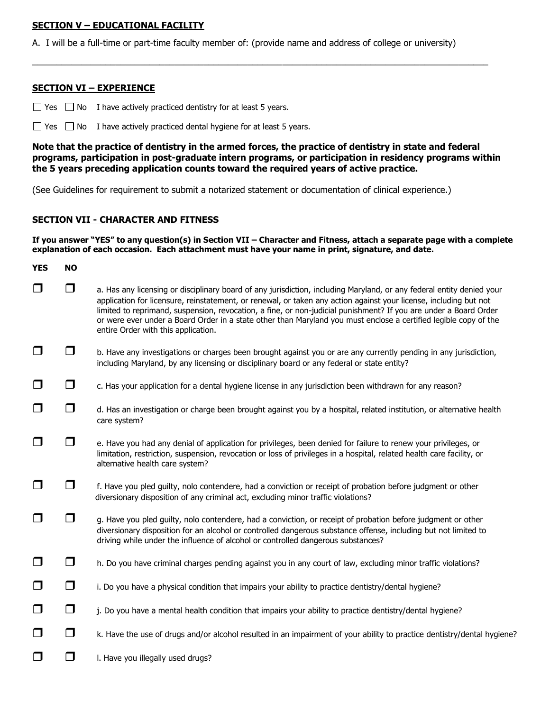### **SECTION V – EDUCATIONAL FACILITY**

A. I will be a full-time or part-time faculty member of: (provide name and address of college or university)

 $\_$  ,  $\_$  ,  $\_$  ,  $\_$  ,  $\_$  ,  $\_$  ,  $\_$  ,  $\_$  ,  $\_$  ,  $\_$  ,  $\_$  ,  $\_$  ,  $\_$  ,  $\_$  ,  $\_$  ,  $\_$  ,  $\_$  ,  $\_$  ,  $\_$  ,  $\_$  ,  $\_$  ,  $\_$  ,  $\_$  ,  $\_$  ,  $\_$  ,  $\_$  ,  $\_$  ,  $\_$  ,  $\_$  ,  $\_$  ,  $\_$  ,  $\_$  ,  $\_$  ,  $\_$  ,  $\_$  ,  $\_$  ,  $\_$  ,

### **SECTION VI – EXPERIENCE**

 $\Box$  Yes  $\Box$  No I have actively practiced dentistry for at least 5 years.

 $\Box$  Yes  $\Box$  No I have actively practiced dental hygiene for at least 5 years.

**Note that the practice of dentistry in the armed forces, the practice of dentistry in state and federal programs, participation in post-graduate intern programs, or participation in residency programs within the 5 years preceding application counts toward the required years of active practice.** 

(See Guidelines for requirement to submit a notarized statement or documentation of clinical experience.)

### **SECTION VII - CHARACTER AND FITNESS**

**If you answer "YES" to any question(s) in Section VII – Character and Fitness, attach a separate page with a complete explanation of each occasion. Each attachment must have your name in print, signature, and date.** 

| <b>YES</b> | <b>NO</b> |                                                                                                                                                                                                                                                                                                                                                                                                                                                                                                                           |
|------------|-----------|---------------------------------------------------------------------------------------------------------------------------------------------------------------------------------------------------------------------------------------------------------------------------------------------------------------------------------------------------------------------------------------------------------------------------------------------------------------------------------------------------------------------------|
| □          | ◘         | a. Has any licensing or disciplinary board of any jurisdiction, including Maryland, or any federal entity denied your<br>application for licensure, reinstatement, or renewal, or taken any action against your license, including but not<br>limited to reprimand, suspension, revocation, a fine, or non-judicial punishment? If you are under a Board Order<br>or were ever under a Board Order in a state other than Maryland you must enclose a certified legible copy of the<br>entire Order with this application. |
| $\Box$     | □         | b. Have any investigations or charges been brought against you or are any currently pending in any jurisdiction,<br>including Maryland, by any licensing or disciplinary board or any federal or state entity?                                                                                                                                                                                                                                                                                                            |
| $\Box$     | $\Box$    | c. Has your application for a dental hygiene license in any jurisdiction been withdrawn for any reason?                                                                                                                                                                                                                                                                                                                                                                                                                   |
| $\Box$     | $\Box$    | d. Has an investigation or charge been brought against you by a hospital, related institution, or alternative health<br>care system?                                                                                                                                                                                                                                                                                                                                                                                      |
| □          | ◘         | e. Have you had any denial of application for privileges, been denied for failure to renew your privileges, or<br>limitation, restriction, suspension, revocation or loss of privileges in a hospital, related health care facility, or<br>alternative health care system?                                                                                                                                                                                                                                                |
| $\Box$     | □         | f. Have you pled guilty, nolo contendere, had a conviction or receipt of probation before judgment or other<br>diversionary disposition of any criminal act, excluding minor traffic violations?                                                                                                                                                                                                                                                                                                                          |
| □          | $\Box$    | g. Have you pled guilty, nolo contendere, had a conviction, or receipt of probation before judgment or other<br>diversionary disposition for an alcohol or controlled dangerous substance offense, including but not limited to<br>driving while under the influence of alcohol or controlled dangerous substances?                                                                                                                                                                                                       |
| $\Box$     | $\Box$    | h. Do you have criminal charges pending against you in any court of law, excluding minor traffic violations?                                                                                                                                                                                                                                                                                                                                                                                                              |
| $\Box$     | $\Box$    | i. Do you have a physical condition that impairs your ability to practice dentistry/dental hygiene?                                                                                                                                                                                                                                                                                                                                                                                                                       |
| $\Box$     | $\Box$    | j. Do you have a mental health condition that impairs your ability to practice dentistry/dental hygiene?                                                                                                                                                                                                                                                                                                                                                                                                                  |
| $\Box$     | $\Box$    | k. Have the use of drugs and/or alcohol resulted in an impairment of your ability to practice dentistry/dental hygiene?                                                                                                                                                                                                                                                                                                                                                                                                   |
| □          | ◘         | I. Have you illegally used drugs?                                                                                                                                                                                                                                                                                                                                                                                                                                                                                         |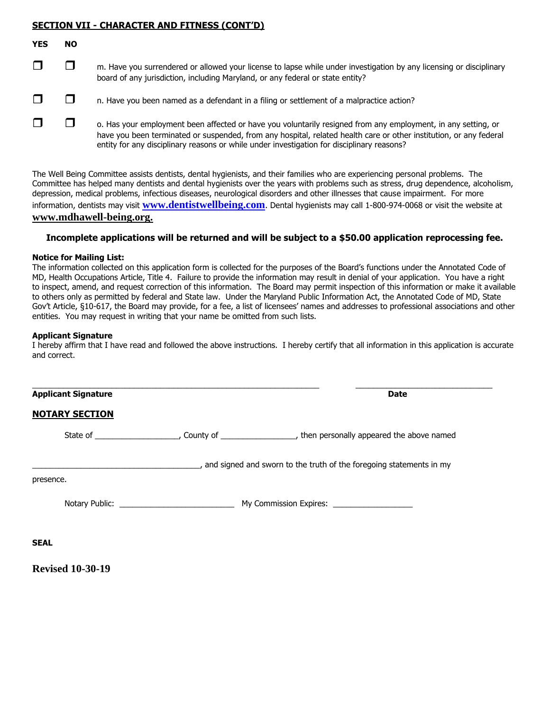### **SECTION VII - CHARACTER AND FITNESS (CONT'D)**

| v<br>Y I | n<br>N |
|----------|--------|
|          |        |
|          |        |

- $\square$  m. Have you surrendered or allowed your license to lapse while under investigation by any licensing or disciplinary board of any jurisdiction, including Maryland, or any federal or state entity?
- $\Box$   $\Box$  n. Have you been named as a defendant in a filing or settlement of a malpractice action?
- $\square$   $\square$   $\square$  o. Has your employment been affected or have you voluntarily resigned from any employment, in any setting, or have you been terminated or suspended, from any hospital, related health care or other institution, or any federal entity for any disciplinary reasons or while under investigation for disciplinary reasons?

The Well Being Committee assists dentists, dental hygienists, and their families who are experiencing personal problems. The Committee has helped many dentists and dental hygienists over the years with problems such as stress, drug dependence, alcoholism, depression, medical problems, infectious diseases, neurological disorders and other illnesses that cause impairment. For more information, dentists may visit **[www.dentistwellbeing.com](http://www.denistwellbeing,com/)**. Dental hygienists may call 1-800-974-0068 or visit the website at **www.mdhawell-being.org.**

### **Incomplete applications will be returned and will be subject to a \$50.00 application reprocessing fee.**

### **Notice for Mailing List:**

The information collected on this application form is collected for the purposes of the Board's functions under the Annotated Code of MD, Health Occupations Article, Title 4. Failure to provide the information may result in denial of your application. You have a right to inspect, amend, and request correction of this information. The Board may permit inspection of this information or make it available to others only as permitted by federal and State law. Under the Maryland Public Information Act, the Annotated Code of MD, State Gov't Article, §10-617, the Board may provide, for a fee, a list of licensees' names and addresses to professional associations and other entities. You may request in writing that your name be omitted from such lists.

### **Applicant Signature**

I hereby affirm that I have read and followed the above instructions. I hereby certify that all information in this application is accurate and correct.

| <b>Applicant Signature</b> |                                                                     | <b>Date</b> |
|----------------------------|---------------------------------------------------------------------|-------------|
| <b>NOTARY SECTION</b>      |                                                                     |             |
|                            |                                                                     |             |
|                            | and signed and sworn to the truth of the foregoing statements in my |             |
| presence.                  |                                                                     |             |
|                            |                                                                     |             |
| <b>SEAL</b>                |                                                                     |             |
| <b>Revised 10-30-19</b>    |                                                                     |             |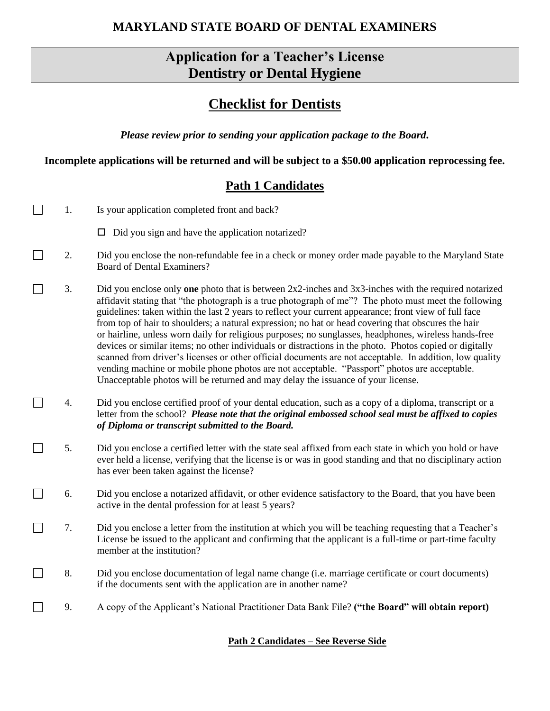## **MARYLAND STATE BOARD OF DENTAL EXAMINERS**

# **Application for a Teacher's License Dentistry or Dental Hygiene**

# **Checklist for Dentists**

*Please review prior to sending your application package to the Board.*

**Incomplete applications will be returned and will be subject to a \$50.00 application reprocessing fee.**

# **Path 1 Candidates**

| 1. | Is your application completed front and back?                                                                                                                                                                                                                                                                                                                                                                                                                                                                                                                                                                                                                                                                                                                                                                                                                                                                                                                 |
|----|---------------------------------------------------------------------------------------------------------------------------------------------------------------------------------------------------------------------------------------------------------------------------------------------------------------------------------------------------------------------------------------------------------------------------------------------------------------------------------------------------------------------------------------------------------------------------------------------------------------------------------------------------------------------------------------------------------------------------------------------------------------------------------------------------------------------------------------------------------------------------------------------------------------------------------------------------------------|
|    | $\Box$ Did you sign and have the application notarized?                                                                                                                                                                                                                                                                                                                                                                                                                                                                                                                                                                                                                                                                                                                                                                                                                                                                                                       |
| 2. | Did you enclose the non-refundable fee in a check or money order made payable to the Maryland State<br><b>Board of Dental Examiners?</b>                                                                                                                                                                                                                                                                                                                                                                                                                                                                                                                                                                                                                                                                                                                                                                                                                      |
| 3. | Did you enclose only <b>one</b> photo that is between $2x2$ -inches and $3x3$ -inches with the required notarized<br>affidavit stating that "the photograph is a true photograph of me"? The photo must meet the following<br>guidelines: taken within the last 2 years to reflect your current appearance; front view of full face<br>from top of hair to shoulders; a natural expression; no hat or head covering that obscures the hair<br>or hairline, unless worn daily for religious purposes; no sunglasses, headphones, wireless hands-free<br>devices or similar items; no other individuals or distractions in the photo. Photos copied or digitally<br>scanned from driver's licenses or other official documents are not acceptable. In addition, low quality<br>vending machine or mobile phone photos are not acceptable. "Passport" photos are acceptable.<br>Unacceptable photos will be returned and may delay the issuance of your license. |
| 4. | Did you enclose certified proof of your dental education, such as a copy of a diploma, transcript or a<br>letter from the school? Please note that the original embossed school seal must be affixed to copies<br>of Diploma or transcript submitted to the Board.                                                                                                                                                                                                                                                                                                                                                                                                                                                                                                                                                                                                                                                                                            |
| 5. | Did you enclose a certified letter with the state seal affixed from each state in which you hold or have<br>ever held a license, verifying that the license is or was in good standing and that no disciplinary action<br>has ever been taken against the license?                                                                                                                                                                                                                                                                                                                                                                                                                                                                                                                                                                                                                                                                                            |
| 6. | Did you enclose a notarized affidavit, or other evidence satisfactory to the Board, that you have been<br>active in the dental profession for at least 5 years?                                                                                                                                                                                                                                                                                                                                                                                                                                                                                                                                                                                                                                                                                                                                                                                               |
| 7. | Did you enclose a letter from the institution at which you will be teaching requesting that a Teacher's<br>License be issued to the applicant and confirming that the applicant is a full-time or part-time faculty<br>member at the institution?                                                                                                                                                                                                                                                                                                                                                                                                                                                                                                                                                                                                                                                                                                             |
| 8. | Did you enclose documentation of legal name change (i.e. marriage certificate or court documents)<br>if the documents sent with the application are in another name?                                                                                                                                                                                                                                                                                                                                                                                                                                                                                                                                                                                                                                                                                                                                                                                          |
| 9. | A copy of the Applicant's National Practitioner Data Bank File? ("the Board" will obtain report)                                                                                                                                                                                                                                                                                                                                                                                                                                                                                                                                                                                                                                                                                                                                                                                                                                                              |
|    |                                                                                                                                                                                                                                                                                                                                                                                                                                                                                                                                                                                                                                                                                                                                                                                                                                                                                                                                                               |

### **Path 2 Candidates – See Reverse Side**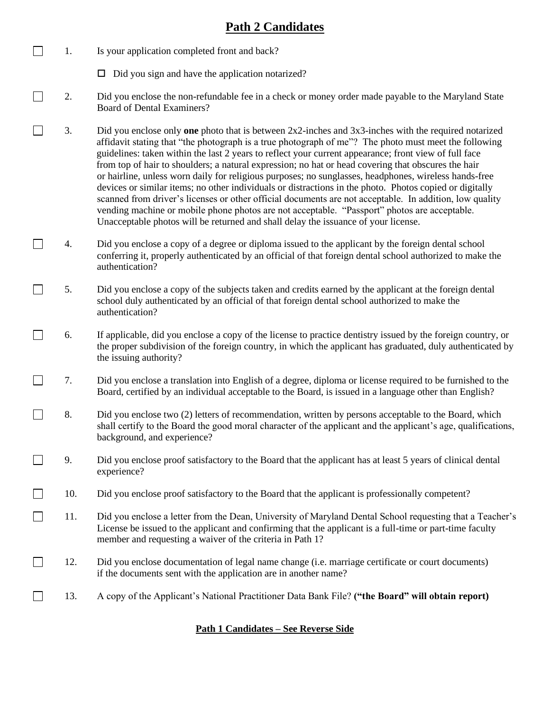## **Path 2 Candidates**

- $\Box$ 1. Is your application completed front and back?
	- $\Box$  Did you sign and have the application notarized?
- П 2. Did you enclose the non-refundable fee in a check or money order made payable to the Maryland State Board of Dental Examiners?
- $\Box$ 3. Did you enclose only **one** photo that is between 2x2-inches and 3x3-inches with the required notarized affidavit stating that "the photograph is a true photograph of me"? The photo must meet the following guidelines: taken within the last 2 years to reflect your current appearance; front view of full face from top of hair to shoulders; a natural expression; no hat or head covering that obscures the hair or hairline, unless worn daily for religious purposes; no sunglasses, headphones, wireless hands-free devices or similar items; no other individuals or distractions in the photo. Photos copied or digitally scanned from driver's licenses or other official documents are not acceptable. In addition, low quality vending machine or mobile phone photos are not acceptable. "Passport" photos are acceptable. Unacceptable photos will be returned and shall delay the issuance of your license.
- $\Box$ 4. Did you enclose a copy of a degree or diploma issued to the applicant by the foreign dental school conferring it, properly authenticated by an official of that foreign dental school authorized to make the authentication?
- $\Box$ 5. Did you enclose a copy of the subjects taken and credits earned by the applicant at the foreign dental school duly authenticated by an official of that foreign dental school authorized to make the authentication?
- $\Box$ 6. If applicable, did you enclose a copy of the license to practice dentistry issued by the foreign country, or the proper subdivision of the foreign country, in which the applicant has graduated, duly authenticated by the issuing authority?
- $\Box$ 7. Did you enclose a translation into English of a degree, diploma or license required to be furnished to the Board, certified by an individual acceptable to the Board, is issued in a language other than English?
- $\Box$ 8. Did you enclose two (2) letters of recommendation, written by persons acceptable to the Board, which shall certify to the Board the good moral character of the applicant and the applicant's age, qualifications, background, and experience?
- $\Box$ 9. Did you enclose proof satisfactory to the Board that the applicant has at least 5 years of clinical dental experience?
- $\Box$ 10. Did you enclose proof satisfactory to the Board that the applicant is professionally competent?
- $\Box$ 11. Did you enclose a letter from the Dean, University of Maryland Dental School requesting that a Teacher's License be issued to the applicant and confirming that the applicant is a full-time or part-time faculty member and requesting a waiver of the criteria in Path 1?
- $\Box$ 12. Did you enclose documentation of legal name change (i.e. marriage certificate or court documents) if the documents sent with the application are in another name?
- $\Box$ 13. A copy of the Applicant's National Practitioner Data Bank File? **("the Board" will obtain report)**

### **Path 1 Candidates – See Reverse Side**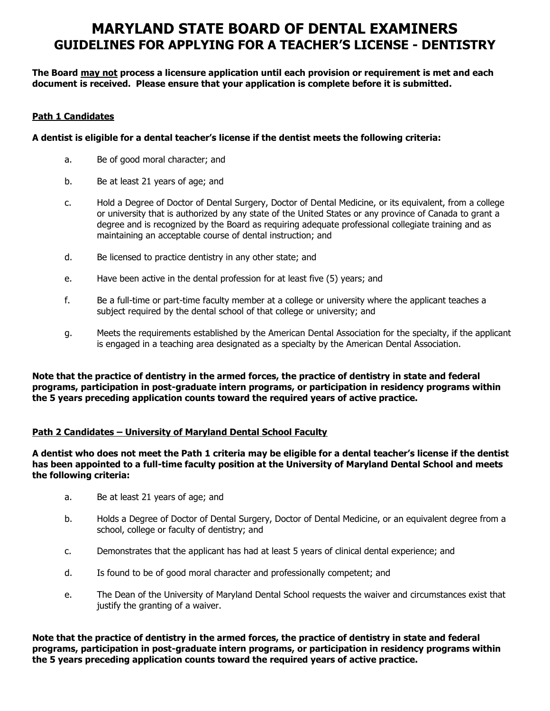# **MARYLAND STATE BOARD OF DENTAL EXAMINERS GUIDELINES FOR APPLYING FOR A TEACHER'S LICENSE - DENTISTRY**

**The Board may not process a licensure application until each provision or requirement is met and each document is received. Please ensure that your application is complete before it is submitted.**

### **Path 1 Candidates**

### **A dentist is eligible for a dental teacher's license if the dentist meets the following criteria:**

- a. Be of good moral character; and
- b. Be at least 21 years of age; and
- c. Hold a Degree of Doctor of Dental Surgery, Doctor of Dental Medicine, or its equivalent, from a college or university that is authorized by any state of the United States or any province of Canada to grant a degree and is recognized by the Board as requiring adequate professional collegiate training and as maintaining an acceptable course of dental instruction; and
- d. Be licensed to practice dentistry in any other state; and
- e. Have been active in the dental profession for at least five (5) years; and
- f. Be a full-time or part-time faculty member at a college or university where the applicant teaches a subject required by the dental school of that college or university; and
- g. Meets the requirements established by the American Dental Association for the specialty, if the applicant is engaged in a teaching area designated as a specialty by the American Dental Association.

**Note that the practice of dentistry in the armed forces, the practice of dentistry in state and federal programs, participation in post-graduate intern programs, or participation in residency programs within the 5 years preceding application counts toward the required years of active practice.** 

### **Path 2 Candidates – University of Maryland Dental School Faculty**

**A dentist who does not meet the Path 1 criteria may be eligible for a dental teacher's license if the dentist has been appointed to a full-time faculty position at the University of Maryland Dental School and meets the following criteria:** 

- a. Be at least 21 years of age; and
- b. Holds a Degree of Doctor of Dental Surgery, Doctor of Dental Medicine, or an equivalent degree from a school, college or faculty of dentistry; and
- c. Demonstrates that the applicant has had at least 5 years of clinical dental experience; and
- d. Is found to be of good moral character and professionally competent; and
- e. The Dean of the University of Maryland Dental School requests the waiver and circumstances exist that justify the granting of a waiver.

**Note that the practice of dentistry in the armed forces, the practice of dentistry in state and federal programs, participation in post-graduate intern programs, or participation in residency programs within the 5 years preceding application counts toward the required years of active practice.**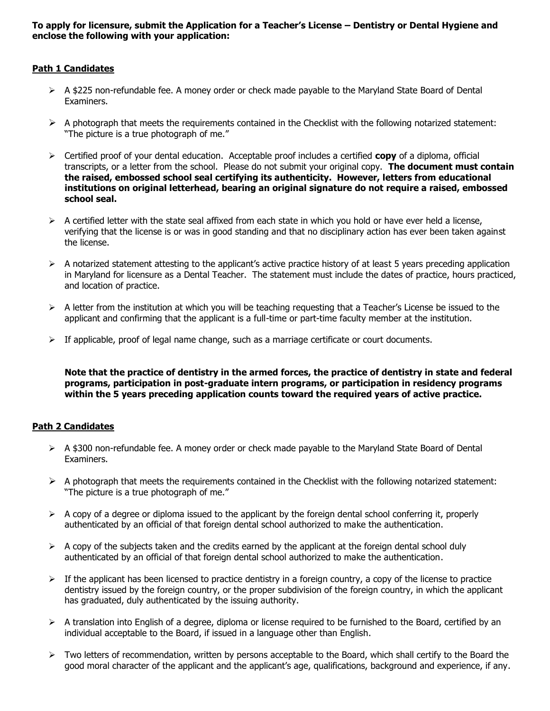### **To apply for licensure, submit the Application for a Teacher's License – Dentistry or Dental Hygiene and enclose the following with your application:**

### **Path 1 Candidates**

- $\triangleright$  A \$225 non-refundable fee. A money order or check made payable to the Maryland State Board of Dental Examiners.
- $\triangleright$  A photograph that meets the requirements contained in the Checklist with the following notarized statement: "The picture is a true photograph of me."
- ➢ Certified proof of your dental education. Acceptable proof includes a certified **copy** of a diploma, official transcripts, or a letter from the school. Please do not submit your original copy. **The document must contain the raised, embossed school seal certifying its authenticity. However, letters from educational institutions on original letterhead, bearing an original signature do not require a raised, embossed school seal.**
- $\triangleright$  A certified letter with the state seal affixed from each state in which you hold or have ever held a license, verifying that the license is or was in good standing and that no disciplinary action has ever been taken against the license.
- $\triangleright$  A notarized statement attesting to the applicant's active practice history of at least 5 years preceding application in Maryland for licensure as a Dental Teacher. The statement must include the dates of practice, hours practiced, and location of practice.
- $\triangleright$  A letter from the institution at which you will be teaching requesting that a Teacher's License be issued to the applicant and confirming that the applicant is a full-time or part-time faculty member at the institution.
- $\triangleright$  If applicable, proof of legal name change, such as a marriage certificate or court documents.

**Note that the practice of dentistry in the armed forces, the practice of dentistry in state and federal programs, participation in post-graduate intern programs, or participation in residency programs within the 5 years preceding application counts toward the required years of active practice.** 

### **Path 2 Candidates**

- ➢ A \$300 non-refundable fee. A money order or check made payable to the Maryland State Board of Dental Examiners.
- $\triangleright$  A photograph that meets the requirements contained in the Checklist with the following notarized statement: "The picture is a true photograph of me."
- $\triangleright$  A copy of a degree or diploma issued to the applicant by the foreign dental school conferring it, properly authenticated by an official of that foreign dental school authorized to make the authentication.
- $\triangleright$  A copy of the subjects taken and the credits earned by the applicant at the foreign dental school duly authenticated by an official of that foreign dental school authorized to make the authentication.
- $\triangleright$  If the applicant has been licensed to practice dentistry in a foreign country, a copy of the license to practice dentistry issued by the foreign country, or the proper subdivision of the foreign country, in which the applicant has graduated, duly authenticated by the issuing authority.
- ➢ A translation into English of a degree, diploma or license required to be furnished to the Board, certified by an individual acceptable to the Board, if issued in a language other than English.
- $\triangleright$  Two letters of recommendation, written by persons acceptable to the Board, which shall certify to the Board the good moral character of the applicant and the applicant's age, qualifications, background and experience, if any.